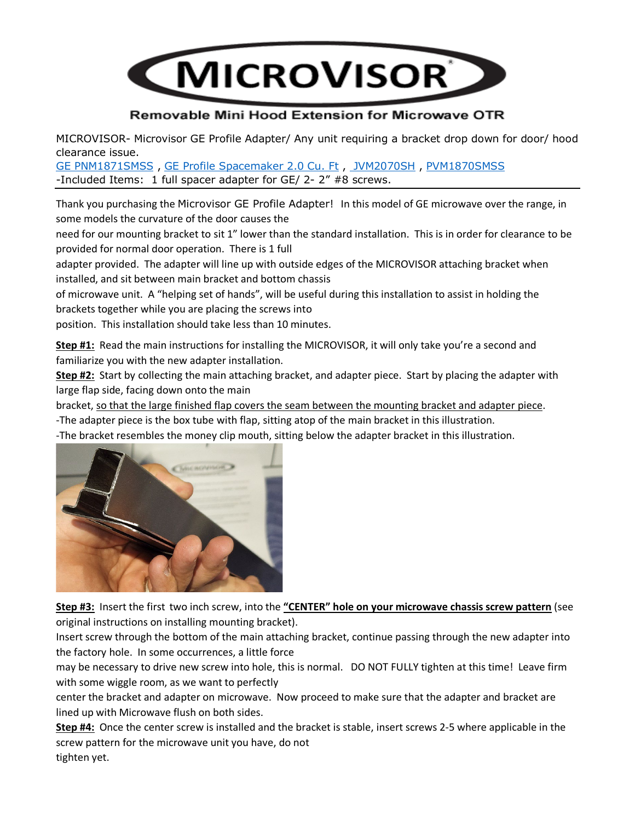

## Removable Mini Hood Extension for Microwave OTR

MICROVISOR- Microvisor GE Profile Adapter/ Any unit requiring a bracket drop down for door/ hood clearance issue.

[GE PNM1871SMSS](https://www.ajmadison.com/cgi-bin/ajmadison/PNM1871SMSS.html) , [GE Profile Spacemaker 2.0 Cu. Ft](https://www.google.com/url?sa=i&url=https%3A%2F%2Fwww.bestbuy.com%2Fsite%2Fge-profile-spacemaker-2-0-cu-ft-over-the-range-microwave-stainless-steel%2F8329347.p%3FskuId%3D8329347&psig=AOvVaw26sPwelCFHaTawrk2e9gCQ&ust=1651204618636000&source=images&cd=vfe&ved=2ahUKEwiC153X7rX3AhUprHIEHeDRBacQr4kDegUIARDkAw) , [JVM2070SH](https://www.ajmadison.com/cgi-bin/ajmadison/JVM2070SH.html) , [PVM1870SMSS](https://www.appliancesconnection.com/ge-pvm1870smss-i72968.html) -Included Items: 1 full spacer adapter for GE/ 2- 2" #8 screws.

Thank you purchasing the Microvisor GE Profile Adapter! In this model of GE microwave over the range, in some models the curvature of the door causes the

need for our mounting bracket to sit 1" lower than the standard installation. This is in order for clearance to be provided for normal door operation. There is 1 full

adapter provided. The adapter will line up with outside edges of the MICROVISOR attaching bracket when installed, and sit between main bracket and bottom chassis

of microwave unit. A "helping set of hands", will be useful during this installation to assist in holding the brackets together while you are placing the screws into

position. This installation should take less than 10 minutes.

**Step #1:** Read the main instructions for installing the MICROVISOR, it will only take you're a second and familiarize you with the new adapter installation.

**Step #2:** Start by collecting the main attaching bracket, and adapter piece. Start by placing the adapter with large flap side, facing down onto the main

bracket, so that the large finished flap covers the seam between the mounting bracket and adapter piece.

-The adapter piece is the box tube with flap, sitting atop of the main bracket in this illustration.

-The bracket resembles the money clip mouth, sitting below the adapter bracket in this illustration.



**Step #3:** Insert the first two inch screw, into the **"CENTER" hole on your microwave chassis screw pattern** (see original instructions on installing mounting bracket).

Insert screw through the bottom of the main attaching bracket, continue passing through the new adapter into the factory hole. In some occurrences, a little force

may be necessary to drive new screw into hole, this is normal. DO NOT FULLY tighten at this time! Leave firm with some wiggle room, as we want to perfectly

center the bracket and adapter on microwave. Now proceed to make sure that the adapter and bracket are lined up with Microwave flush on both sides.

**Step #4:** Once the center screw is installed and the bracket is stable, insert screws 2-5 where applicable in the screw pattern for the microwave unit you have, do not tighten yet.